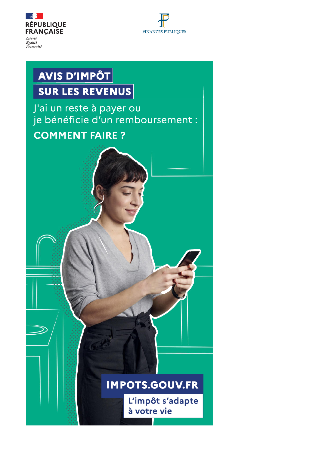



# AVIS D'IMPÔT **SUR LES REVENUS**

J'ai un reste à payer ou je bénéficie d'un remboursement :

## **COMMENT FAIRE ?**



L'impôt s'adapte à votre vie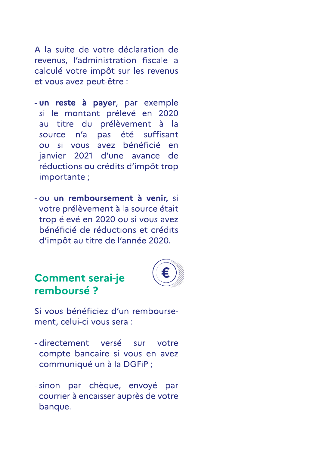A la suite de votre déclaration de revenus, l'administration fiscale a calculé votre impôt sur les revenus et vous avez peut-être :

- un reste à payer, par exemple si le montant prélevé en 2020 au titre du prélèvement à la source n'a pas été suffisant ou si vous avez bénéficié en janvier 2021 d'une avance de réductions ou crédits d'impôt trop importante;
- ou un remboursement à venir, si votre prélèvement à la source était trop élevé en 2020 ou si vous avez bénéficié de réductions et crédits d'impôt au titre de l'année 2020.

### **Comment serai-je** remboursé?



Si vous bénéficiez d'un remboursement, celui-ci vous sera :

- directement versé sur votre compte bancaire si vous en avez communiqué un à la DGFiP ;
- sinon par chèque, envoyé par courrier à encaisser auprès de votre banque.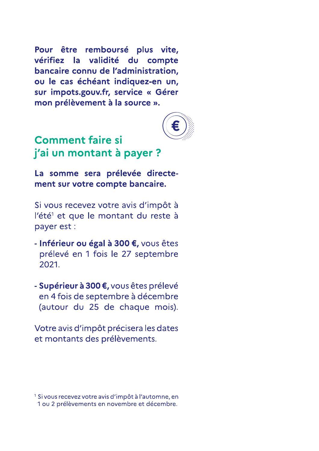Pour être remboursé plus vite, vérifiez la validité du compte bancaire connu de l'administration, ou le cas échéant indiquez-en un, sur impots.gouv.fr, service « Gérer mon prélèvement à la source ».



#### **Comment faire si** j'ai un montant à payer ?

La somme sera prélevée directement sur votre compte bancaire.

Si vous recevez votre avis d'impôt à l'été<sup>1</sup> et que le montant du reste à payer est :

- Inférieur ou égal à 300 €, vous êtes prélevé en 1 fois le 27 septembre  $2021.$
- Supérieur à 300 €, vous êtes prélevé en 4 fois de septembre à décembre (autour du 25 de chaque mois).

Votre avis d'impôt précisera les dates et montants des prélèvements.

<sup>&</sup>lt;sup>1</sup> Si vous recevez votre avis d'impôt à l'automne, en 1 ou 2 prélèvements en novembre et décembre.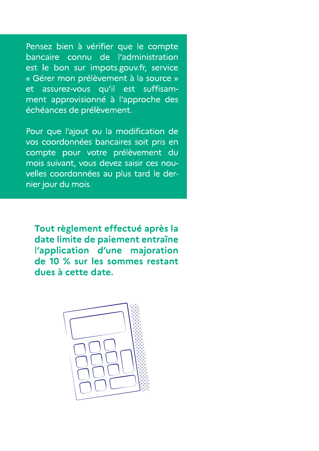Pensez bien à vérifier que le compte bancaire connu de l'administration est le bon sur impots.gouv.fr, service « Gérer mon prélèvement à la source » et assurez-vous qu'il est suffisamment approvisionné à l'approche des échéances de prélèvement.

Pour que l'ajout ou la modification de vos coordonnées bancaires soit pris en compte pour votre prélèvement du mois suivant, vous devez saisir ces nouvelles coordonnées au plus tard le dernier jour du mois.

Tout règlement effectué après la date limite de paiement entraîne l'application d'une majoration de 10 % sur les sommes restant dues à cette date.

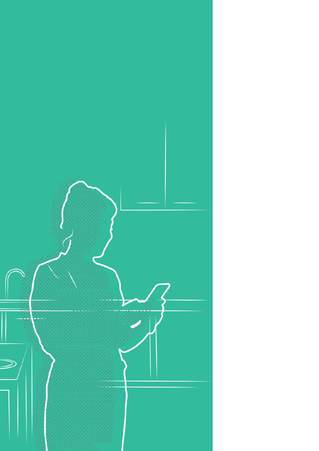